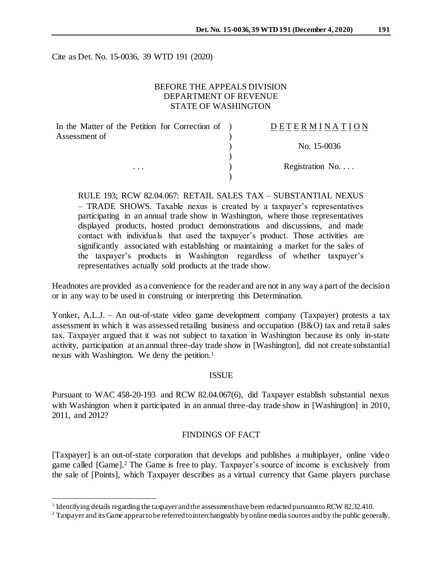Cite as Det. No. 15-0036, 39 WTD 191 (2020)

# BEFORE THE APPEALS DIVISION DEPARTMENT OF REVENUE STATE OF WASHINGTON

| In the Matter of the Petition for Correction of ) | DETERMINATION    |
|---------------------------------------------------|------------------|
| Assessment of                                     |                  |
|                                                   | No. 15-0036      |
|                                                   |                  |
| $\cdot$ $\cdot$ $\cdot$                           | Registration No. |
|                                                   |                  |

RULE 193; RCW 82.04.067: RETAIL SALES TAX – SUBSTANTIAL NEXUS – TRADE SHOWS. Taxable nexus is created by a taxpayer's representatives participating in an annual trade show in Washington, where those representatives displayed products, hosted product demonstrations and discussions, and made contact with individuals that used the taxpayer's product. Those activities are significantly associated with establishing or maintaining a market for the sales of the taxpayer's products in Washington regardless of whether taxpayer's representatives actually sold products at the trade show.

Headnotes are provided as a convenience for the reader and are not in any way a part of the decision or in any way to be used in construing or interpreting this Determination.

Yonker, A.L.J. – An out-of-state video game development company (Taxpayer) protests a tax assessment in which it was assessed retailing business and occupation (B&O) tax and retail sales tax. Taxpayer argued that it was not subject to taxation in Washington because its only in-state activity, participation at an annual three-day trade show in [Washington], did not create substantial nexus with Washington. We deny the petition.<sup>1</sup>

## **ISSUE**

Pursuant to WAC 458-20-193 and RCW 82.04.067(6), did Taxpayer establish substantial nexus with Washington when it participated in an annual three-day trade show in [Washington] in 2010, 2011, and 2012?

# FINDINGS OF FACT

[Taxpayer] is an out-of-state corporation that develops and publishes a multiplayer, online video game called [Game]. <sup>2</sup> The Game is free to play. Taxpayer's source of income is exclusively from the sale of [Points], which Taxpayer describes as a virtual currency that Game players purchase

l

<sup>&</sup>lt;sup>1</sup> Identifying details regarding the taxpayer and the assessment have been redacted pursuant to RCW 82.32.410.

<sup>&</sup>lt;sup>2</sup> Taxpayer and its Game appear to be referred to interchangeably by online media sources and by the public generally.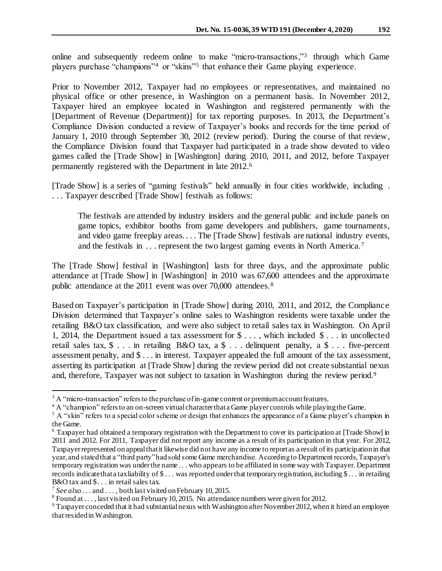online and subsequently redeem online to make "micro-transactions,"<sup>3</sup> through which Game players purchase "champions"<sup>4</sup> or "skins"<sup>5</sup> that enhance their Game playing experience.

Prior to November 2012, Taxpayer had no employees or representatives, and maintained no physical office or other presence, in Washington on a permanent basis. In November 2012, Taxpayer hired an employee located in Washington and registered permanently with the [Department of Revenue (Department)] for tax reporting purposes. In 2013, the Department's Compliance Division conducted a review of Taxpayer's books and records for the time period of January 1, 2010 through September 30, 2012 (review period). During the course of that review, the Compliance Division found that Taxpayer had participated in a trade show devoted to video games called the [Trade Show] in [Washington] during 2010, 2011, and 2012, before Taxpayer permanently registered with the Department in late 2012. 6

[Trade Show] is a series of "gaming festivals" held annually in four cities worldwide, including . . . . Taxpayer described [Trade Show] festivals as follows:

The festivals are attended by industry insiders and the general public and include panels on game topics, exhibitor booths from game developers and publishers, game tournaments, and video game freeplay areas.... The [Trade Show] festivals are national industry events, and the festivals in . . . represent the two largest gaming events in North America.<sup>7</sup>

The [Trade Show] festival in [Washington] lasts for three days, and the approximate public attendance at [Trade Show] in [Washington] in 2010 was 67,600 attendees and the approximate public attendance at the 2011 event was over 70,000 attendees.<sup>8</sup>

Based on Taxpayer's participation in [Trade Show] during 2010, 2011, and 2012, the Compliance Division determined that Taxpayer's online sales to Washington residents were taxable under the retailing B&O tax classification, and were also subject to retail sales tax in Washington. On April 1, 2014, the Department issued a tax assessment for \$ . . . , which included \$ . . . in uncollected retail sales tax, \$ . . . in retailing B&O tax, a \$ . . . delinquent penalty, a \$ . . . five-percent assessment penalty, and \$ . . . in interest. Taxpayer appealed the full amount of the tax assessment, asserting its participation at [Trade Show] during the review period did not create substantial nexus and, therefore, Taxpayer was not subject to taxation in Washington during the review period.<sup>9</sup>

l

 $3$  A "micro-transaction" refers to the purchase of in-game content or premium account features.

<sup>&</sup>lt;sup>4</sup> A "champion" refers to an on-screen virtual character that a Game player controls while playing the Game.

 $5$  A "skin" refers to a special color scheme or design that enhances the appearance of a Game player's champion in the Game.

<sup>6</sup> Taxpayer had obtained a temporary registration with the Department to cover its participation at [Trade Show] in 2011 and 2012. For 2011, Taxpayer did not report any income as a result of its participation in that year. For 2012, Taxpayer represented on appeal that it likewise did not have any income to report as a result of its participation in that year, and stated that a "third party" had sold some Game merchandise. According to Department records, Taxpayer's temporary registration was under the name . . . who appears to be affiliated in some way with Taxpayer. Department records indicate that a tax liability of \$ . . . was reported under that temporary registration, including \$ . . . in retailing B&O tax and \$... in retail sales tax.

<sup>&</sup>lt;sup>7</sup> See also ... and ..., both last visited on February 10, 2015.

<sup>&</sup>lt;sup>8</sup> Found at . . . , last visited on February 10, 2015. No attendance numbers were given for 2012.

<sup>&</sup>lt;sup>9</sup> Taxpayer conceded that it had substantial nexus with Washington after November 2012, when it hired an employee that resided in Washington.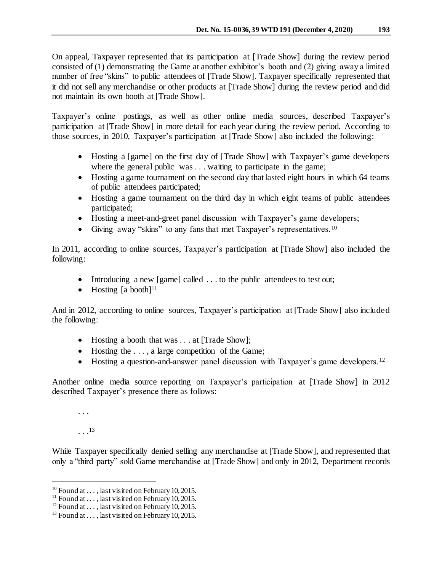On appeal, Taxpayer represented that its participation at [Trade Show] during the review period consisted of (1) demonstrating the Game at another exhibitor's booth and (2) giving away a limited number of free "skins" to public attendees of [Trade Show]. Taxpayer specifically represented that it did not sell any merchandise or other products at [Trade Show] during the review period and did not maintain its own booth at [Trade Show].

Taxpayer's online postings, as well as other online media sources, described Taxpayer's participation at [Trade Show] in more detail for each year during the review period. According to those sources, in 2010, Taxpayer's participation at [Trade Show] also included the following:

- Hosting a [game] on the first day of [Trade Show] with Taxpayer's game developers where the general public was . . . waiting to participate in the game;
- Hosting a game tournament on the second day that lasted eight hours in which 64 teams of public attendees participated;
- Hosting a game tournament on the third day in which eight teams of public attendees participated;
- Hosting a meet-and-greet panel discussion with Taxpayer's game developers;
- Giving away "skins" to any fans that met Taxpayer's representatives.<sup>10</sup>

In 2011, according to online sources, Taxpayer's participation at [Trade Show] also included the following:

- Introducing a new [game] called ... to the public attendees to test out;
- $\bullet$  Hosting [a booth]<sup>11</sup>

And in 2012, according to online sources, Taxpayer's participation at [Trade Show] also included the following:

- Hosting a booth that was . . . at [Trade Show];
- Hosting the ..., a large competition of the Game;
- Hosting a question-and-answer panel discussion with Taxpayer's game developers.<sup>12</sup>

Another online media source reporting on Taxpayer's participation at [Trade Show] in 2012 described Taxpayer's presence there as follows:

. . .

 $\ldots$ <sup>13</sup>

j

While Taxpayer specifically denied selling any merchandise at [Trade Show], and represented that only a "third party" sold Game merchandise at [Trade Show] and only in 2012, Department records

<sup>&</sup>lt;sup>10</sup> Found at . . . , last visited on February 10, 2015.

<sup>&</sup>lt;sup>11</sup> Found at . . . , last visited on February 10, 2015.

<sup>&</sup>lt;sup>12</sup> Found at ..., last visited on February 10, 2015.

<sup>&</sup>lt;sup>13</sup> Found at ..., last visited on February 10, 2015.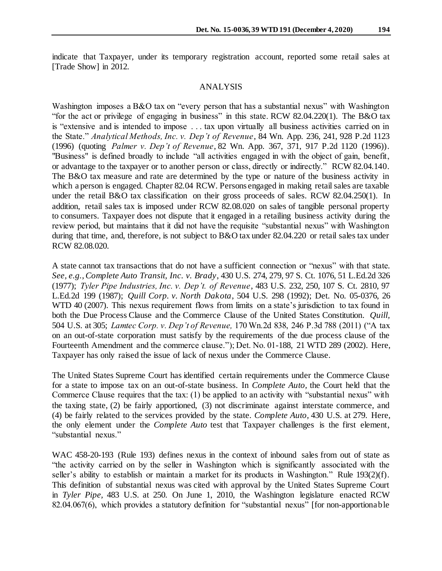indicate that Taxpayer, under its temporary registration account, reported some retail sales at [Trade Show] in 2012.

#### ANALYSIS

Washington imposes a B&O tax on "every person that has a substantial nexus" with Washington "for the act or privilege of engaging in business" in this state. RCW 82.04.220(1). The B&O tax is "extensive and is intended to impose . . . tax upon virtually all business activities carried on in the State." *Analytical Methods, Inc. v. Dep't of Revenue*, 84 Wn. App. 236, 241, 928 P.2d 1123 (1996) (quoting *Palmer v. Dep't of Revenue*, 82 Wn. App. 367, 371, 917 P.2d 1120 (1996)). "Business" is defined broadly to include "all activities engaged in with the object of gain, benefit, or advantage to the taxpayer or to another person or class, directly or indirectly." RCW 82.04.140. The B&O tax measure and rate are determined by the type or nature of the business activity in which a person is engaged. Chapter 82.04 RCW. Persons engaged in making retail sales are taxable under the retail B&O tax classification on their gross proceeds of sales. RCW 82.04.250(1). In addition, retail sales tax is imposed under RCW 82.08.020 on sales of tangible personal property to consumers. Taxpayer does not dispute that it engaged in a retailing business activity during the review period, but maintains that it did not have the requisite "substantial nexus" with Washington during that time, and, therefore, is not subject to B&O tax under 82.04.220 or retail sales tax under RCW 82.08.020.

A state cannot tax transactions that do not have a sufficient connection or "nexus" with that state. *See, e.g.*, *Complete Auto Transit, Inc. v. Brady*, 430 U.S. 274, 279, 97 S. Ct. 1076, 51 L.Ed.2d 326 (1977); *Tyler Pipe Industries, Inc. v. Dep't. of Revenue*, 483 U.S. 232, 250, 107 S. Ct. 2810, 97 L.Ed.2d 199 (1987); *Quill Corp. v. North Dakota*, 504 U.S. 298 (1992); Det. No. 05-0376, 26 WTD 40 (2007). This nexus requirement flows from limits on a state's jurisdiction to tax found in both the Due Process Clause and the Commerce Clause of the United States Constitution. *Quill,*  504 U.S. at 305; *Lamtec Corp. v. Dep't of Revenue,* 170 Wn.2d 838, 246 P.3d 788 (2011) ("A tax on an out-of-state corporation must satisfy by the requirements of the due process clause of the Fourteenth Amendment and the commerce clause."); Det. No. 01-188, 21 WTD 289 (2002). Here, Taxpayer has only raised the issue of lack of nexus under the Commerce Clause.

The United States Supreme Court has identified certain requirements under the Commerce Clause for a state to impose tax on an out-of-state business. In *Complete Auto,* the Court held that the Commerce Clause requires that the tax: (1) be applied to an activity with "substantial nexus" with the taxing state, (2) be fairly apportioned, (3) not discriminate against interstate commerce, and (4) be fairly related to the services provided by the state. *Complete Auto,* 430 U.S. at 279. Here, the only element under the *Complete Auto* test that Taxpayer challenges is the first element, "substantial nexus."

WAC 458-20-193 (Rule 193) defines nexus in the context of inbound sales from out of state as "the activity carried on by the seller in Washington which is significantly associated with the seller's ability to establish or maintain a market for its products in Washington." Rule 193(2)(f). This definition of substantial nexus was cited with approval by the United States Supreme Court in *Tyler Pipe,* 483 U.S. at 250. On June 1, 2010, the Washington legislature enacted RCW 82.04.067(6), which provides a statutory definition for "substantial nexus" [for non-apportionable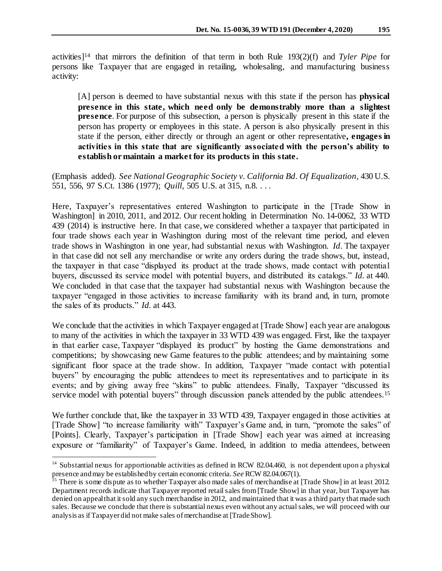activities]<sup>14</sup> that mirrors the definition of that term in both Rule 193(2)(f) and *Tyler Pipe* for persons like Taxpayer that are engaged in retailing, wholesaling, and manufacturing business activity:

[A] person is deemed to have substantial nexus with this state if the person has **physical presence in this state, which need only be demonstrably more than a slightest presence**. For purpose of this subsection, a person is physically present in this state if the person has property or employees in this state. A person is also physically present in this state if the person, either directly or through an agent or other representative**, engages in activities in this state that are significantly associated with the person's ability to establish or maintain a market for its products in this state.**

(Emphasis added). *See National Geographic Society v. California Bd. Of Equalization,* 430 U.S. 551, 556, 97 S.Ct. 1386 (1977); *Quill,* 505 U.S. at 315, n.8. . . .

Here, Taxpayer's representatives entered Washington to participate in the [Trade Show in Washington] in 2010, 2011, and 2012. Our recent holding in Determination No. 14-0062, 33 WTD 439 (2014) is instructive here. In that case, we considered whether a taxpayer that participated in four trade shows each year in Washington during most of the relevant time period, and eleven trade shows in Washington in one year, had substantial nexus with Washington. *Id.* The taxpayer in that case did not sell any merchandise or write any orders during the trade shows, but, instead, the taxpayer in that case "displayed its product at the trade shows, made contact with potential buyers, discussed its service model with potential buyers, and distributed its catalogs." *Id.* at 440. We concluded in that case that the taxpayer had substantial nexus with Washington because the taxpayer "engaged in those activities to increase familiarity with its brand and, in turn, promote the sales of its products." *Id.* at 443.

We conclude that the activities in which Taxpayer engaged at [Trade Show] each year are analogous to many of the activities in which the taxpayer in 33 WTD 439 was engaged. First, like the taxpayer in that earlier case, Taxpayer "displayed its product" by hosting the Game demonstrations and competitions; by showcasing new Game features to the public attendees; and by maintaining some significant floor space at the trade show. In addition, Taxpayer "made contact with potential buyers" by encouraging the public attendees to meet its representatives and to participate in its events; and by giving away free "skins" to public attendees. Finally, Taxpayer "discussed its service model with potential buyers" through discussion panels attended by the public attendees.<sup>15</sup>

We further conclude that, like the taxpayer in 33 WTD 439, Taxpayer engaged in those activities at [Trade Show] "to increase familiarity with" Taxpayer's Game and, in turn, "promote the sales" of [Points]. Clearly, Taxpayer's participation in [Trade Show] each year was aimed at increasing exposure or "familiarity" of Taxpayer's Game. Indeed, in addition to media attendees, between

j

<sup>&</sup>lt;sup>14</sup> Substantial nexus for apportionable activities as defined in RCW 82.04.460, is not dependent upon a physical presence and may be established by certain economic criteria. *See* RCW 82.04.067(1).

<sup>&</sup>lt;sup>15</sup> There is some dispute as to whether Taxpayer also made sales of merchandise at [Trade Show] in at least 2012. Department records indicate that Taxpayer reported retail sales from [Trade Show] in that year, but Taxpayer has denied on appeal that it sold any such merchandise in 2012, and maintained that it was a third party that made such sales. Because we conclude that there is substantial nexus even without any actual sales, we will proceed with our analysis as if Taxpayer did not make sales of merchandise at [Trade Show].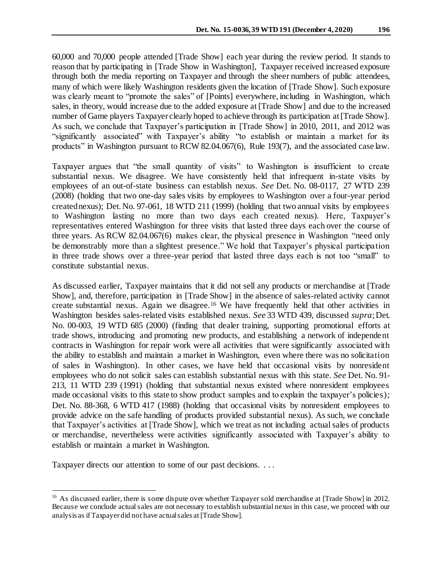60,000 and 70,000 people attended [Trade Show] each year during the review period. It stands to reason that by participating in [Trade Show in Washington], Taxpayer received increased exposure through both the media reporting on Taxpayer and through the sheer numbers of public attendees, many of which were likely Washington residents given the location of [Trade Show]. Such exposure was clearly meant to "promote the sales" of [Points] everywhere, including in Washington, which sales, in theory, would increase due to the added exposure at [Trade Show] and due to the increased number of Game players Taxpayer clearly hoped to achieve through its participation at [Trade Show]. As such, we conclude that Taxpayer's participation in [Trade Show] in 2010, 2011, and 2012 was "significantly associated" with Taxpayer's ability "to establish or maintain a market for its products" in Washington pursuant to RCW 82.04.067(6), Rule 193(7), and the associated case law.

Taxpayer argues that "the small quantity of visits" to Washington is insufficient to create substantial nexus. We disagree. We have consistently held that infrequent in-state visits by employees of an out-of-state business can establish nexus. *See* Det. No. 08-0117, 27 WTD 239 (2008) (holding that two one-day sales visits by employees to Washington over a four-year period created nexus); Det. No. 97-061, 18 WTD 211 (1999) (holding that two annual visits by employees to Washington lasting no more than two days each created nexus). Here, Taxpayer's representatives entered Washington for three visits that lasted three days each over the course of three years. As RCW 82.04.067(6) makes clear, the physical presence in Washington "need only be demonstrably more than a slightest presence." We hold that Taxpayer's physical participation in three trade shows over a three-year period that lasted three days each is not too "small" to constitute substantial nexus.

As discussed earlier, Taxpayer maintains that it did not sell any products or merchandise at [Trade Show], and, therefore, participation in [Trade Show] in the absence of sales-related activity cannot create substantial nexus. Again we disagree.<sup>16</sup> We have frequently held that other activities in Washington besides sales-related visits established nexus. *See* 33 WTD 439, discussed *supra*; Det. No. 00-003, 19 WTD 685 (2000) (finding that dealer training, supporting promotional efforts at trade shows, introducing and promoting new products, and establishing a network of independent contracts in Washington for repair work were all activities that were significantly associated with the ability to establish and maintain a market in Washington, even where there was no solicitation of sales in Washington). In other cases, we have held that occasional visits by nonresident employees who do not solicit sales can establish substantial nexus with this state. *See* Det. No. 91- 213, 11 WTD 239 (1991) (holding that substantial nexus existed where nonresident employees made occasional visits to this state to show product samples and to explain the taxpayer's policies); Det. No. 88-368, 6 WTD 417 (1988) (holding that occasional visits by nonresident employees to provide advice on the safe handling of products provided substantial nexus). As such, we conclude that Taxpayer's activities at [Trade Show], which we treat as not including actual sales of products or merchandise, nevertheless were activities significantly associated with Taxpayer's ability to establish or maintain a market in Washington.

Taxpayer directs our attention to some of our past decisions. . . .

j

<sup>&</sup>lt;sup>16</sup> As discussed earlier, there is some dispute over whether Taxpayer sold merchandise at [Trade Show] in 2012. Because we conclude actual sales are not necessary to establish substantial nexus in this case, we proceed with our analysis as if Taxpayer did not have actual sales at [Trade Show].